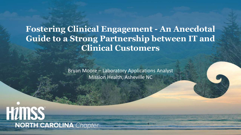**Fostering Clinical Engagement - An Anecdotal Guide to a Strong Partnership between IT and Clinical Customers**

> Bryan Moore – Laboratory Applications Analyst Mission Health, Asheville NC

**HUMSS NORTH CAROLINA** Chapter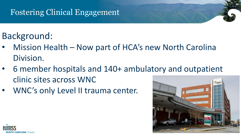# Background:

- Mission Health Now part of HCA's new North Carolina Division.
- 6 member hospitals and 140+ ambulatory and outpatient clinic sites across WNC
- WNC's only Level II trauma center.



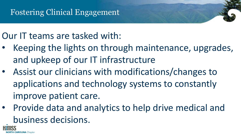## Our IT teams are tasked with:

- Keeping the lights on through maintenance, upgrades, and upkeep of our IT infrastructure
- Assist our clinicians with modifications/changes to applications and technology systems to constantly improve patient care.
- Provide data and analytics to help drive medical and business decisions.

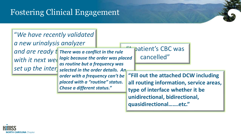#### "*We have recently validated*

*a new urinalysis analyzer* 

*and are ready twe There was a conflict in the rule* with it next week logic because the order was placed Set up the inters selected in the order details. An *as routine but a frequency was order with a frequency can't be placed with a "routine" status. Chose a different status."*

patient's CBC was cancelled"

**"Fill out the attached DCW including all routing information, service areas, type of interface whether it be unidirectional, bidirectional, quasidirectional…….etc."**

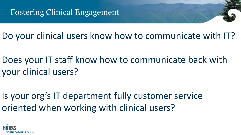Do your clinical users know how to communicate with IT?

Does your IT staff know how to communicate back with your clinical users?

Is your org's IT department fully customer service oriented when working with clinical users?

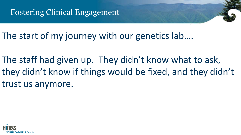The start of my journey with our genetics lab....

The staff had given up. They didn't know what to ask, they didn't know if things would be fixed, and they didn't trust us anymore.

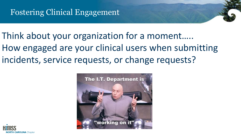Think about your organization for a moment….. How engaged are your clinical users when submitting incidents, service requests, or change requests?



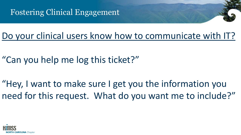

Do your clinical users know how to communicate with IT?

"Can you help me log this ticket?"

"Hey, I want to make sure I get you the information you need for this request. What do you want me to include?"

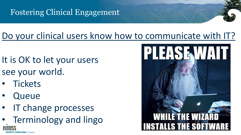## Do your clinical users know how to communicate with IT?

- It is OK to let your users see your world.
- **Tickets**
- **Queue**
- IT change processes
- Terminology and lingo**NORTH CAROLINA** Chapter

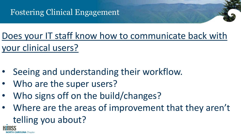Does your IT staff know how to communicate back with your clinical users?

- Seeing and understanding their workflow.
- Who are the super users?

*TH CAROLINA Chapter* 

- Who signs off on the build/changes?
- Where are the areas of improvement that they aren't telling you about?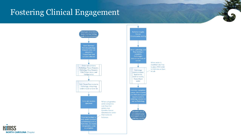

When order is modified rule fires

in Lab

to place FISH order

to Fullerton as Spec

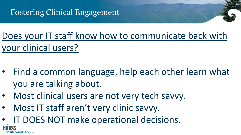Does your IT staff know how to communicate back with your clinical users?

- Find a common language, help each other learn what you are talking about.
- Most clinical users are not very tech savvy.
- Most IT staff aren't very clinic savvy.
- IT DOES NOT make operational decisions.

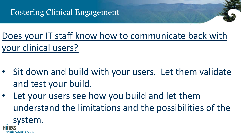**CAROLINA** Chapter

Does your IT staff know how to communicate back with your clinical users?

- Sit down and build with your users. Let them validate and test your build.
- Let your users see how you build and let them understand the limitations and the possibilities of the system.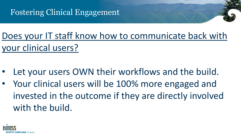Does your IT staff know how to communicate back with your clinical users?

- Let your users OWN their workflows and the build.
- Your clinical users will be 100% more engaged and invested in the outcome if they are directly involved with the build.

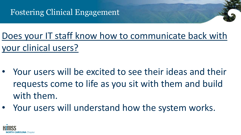Does your IT staff know how to communicate back with your clinical users?

- Your users will be excited to see their ideas and their requests come to life as you sit with them and build with them.
- Your users will understand how the system works.

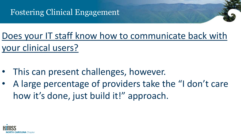Does your IT staff know how to communicate back with your clinical users?

- This can present challenges, however.
- A large percentage of providers take the "I don't care how it's done, just build it!" approach.

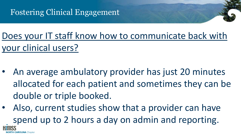Does your IT staff know how to communicate back with your clinical users?

- An average ambulatory provider has just 20 minutes allocated for each patient and sometimes they can be double or triple booked.
- Also, current studies show that a provider can have spend up to 2 hours a day on admin and reporting.**AROLINA** Chanter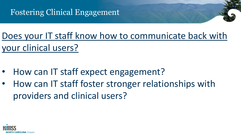Does your IT staff know how to communicate back with your clinical users?

- How can IT staff expect engagement?
- How can IT staff foster stronger relationships with providers and clinical users?

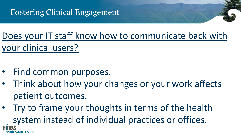Does your IT staff know how to communicate back with your clinical users?

- Find common purposes.
- Think about how your changes or your work affects patient outcomes.
- Try to frame your thoughts in terms of the health system instead of individual practices or offices.**CAROLINA** Chapter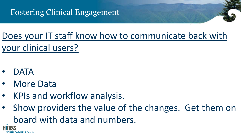Does your IT staff know how to communicate back with your clinical users?

• DATA

**IORTH CAROLINA** Chanter

- **More Data**
- KPIs and workflow analysis.
- Show providers the value of the changes. Get them on board with data and numbers.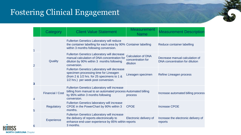|   | Category                | <b>Client Value Statement</b>                                                                                                                                                    | <b>Measurement</b><br><b>Name</b>                          | <b>Measurement Description</b>                                   |
|---|-------------------------|----------------------------------------------------------------------------------------------------------------------------------------------------------------------------------|------------------------------------------------------------|------------------------------------------------------------------|
|   | Quality                 | <b>Fullerton Genetics Laboratory will reduce</b><br>the container labelling for each area by 90% Container labelling<br>within 3 months following conversion.                    |                                                            | Reduce container labelling                                       |
|   |                         | <b>Fullerton Genetics Laboratory will decrease</b><br>manual calculation of DNA concentration for<br>dilution by 90% within 3 months following<br>conversion.                    | <b>Calculation of DNA</b><br>concentration for<br>dilution | Decrease manual calculation of<br>DNA concentration for dilution |
| 3 |                         | <b>Fullerton Genetics Laboratory will decrease</b><br>specimen processing time for Lineagen<br>(from 2 & 1/2 hrs. for 25 specimens to 1 &<br>1/2 hrs.) per week post conversion. | Lineagen specimen                                          | Refine Lineagen process                                          |
|   | <b>Financial / Cost</b> | <b>Fullerton Genetics Laboratory will increase</b><br>billing from manual to an automated process Automated billing<br>by 95% within 3 months following<br>conversion.           | process                                                    | Increase automated billing process                               |
| 5 | <b>Regulatory</b>       | <b>Fullerton Genetics laboratory will increase</b><br>CPOE in the PowerChart by 90% within 3<br>months.                                                                          | <b>CPOE</b>                                                | <b>Increase CPOE</b>                                             |
| 6 | Experience              | <b>Fullerton Genetics Laboratory will increase</b><br>the delivery of reports electronically to<br>enhance end-user experience by 85% within reports<br>3 months.                | Electronic delivery of                                     | Increase the electronic delivery of<br>reports                   |

**H NORTH CAROLINA** Chapter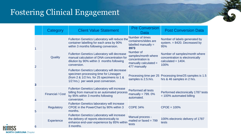

|                | Category                | <b>Client Value Statement</b>                                                                                                                                                    | <b>Pre Conversion</b><br>Data                                                                 | <b>Post Conversion Data</b>                                                                       |
|----------------|-------------------------|----------------------------------------------------------------------------------------------------------------------------------------------------------------------------------|-----------------------------------------------------------------------------------------------|---------------------------------------------------------------------------------------------------|
|                | Quality                 | Fullerton Genetics Laboratory will reduce the<br>container labelling for each area by 90%<br>within 3 months following conversion.                                               | Number of times<br>containers/slides are<br>labelled manually =<br>3973                       | Number of labels generated by<br>system. $= 8420$ . Decreased by<br>95%                           |
| $\overline{2}$ |                         | <b>Fullerton Genetics Laboratory will decrease</b><br>manual calculation of DNA concentration for<br>dilution by 90% within 3 months following<br>conversion.                    | Number of<br>samples/month where<br>concentration is<br>manually calculated =<br>477 manually | Number of samples/month where<br>concentration is electronically<br>calculated = $1404$ .<br>100% |
| 3              |                         | <b>Fullerton Genetics Laboratory will decrease</b><br>specimen processing time for Lineagen<br>(from 2 & 1/2 hrs. for 25 specimens to 1 &<br>1/2 hrs.) per week post conversion. | samples is 2.5.hrs.                                                                           | Processing time per 25 Processing time/25 samples is 1.5<br>hrs & 46 samples in 2 hrs.            |
| 4              | <b>Financial / Cost</b> | <b>Fullerton Genetics Laboratory will increase</b><br>billing from manual to an automated process<br>by 95% within 3 months following<br>conversion.                             | <b>Performed all tests</b><br>manually = $799.0\%$<br>automated.                              | Performed electronically 1787 tests<br>$= 100\%$ automated billing                                |
| 5              | <b>Regulatory</b>       | <b>Fullerton Genetics laboratory will increase</b><br>CPOE in the PowerChart by 90% within 3<br>months.                                                                          | <b>COPE 34%</b>                                                                               | $CPOE = 100%$                                                                                     |
| 6              | <b>Experience</b>       | <b>Fullerton Genetics Laboratory will increase</b><br>the delivery of reports electronically to<br>enhance end-user experience by 85% within<br>3 months.                        | Manual process -<br>mailed or faxed $= 799$<br>tests                                          | 100% electronic delivery of 1787<br>tests                                                         |

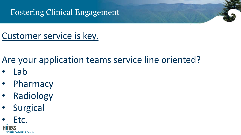

Are your application teams service line oriented?

- Lab
- Pharmacy
- Radiology
- Surgical

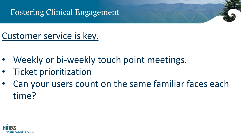- Weekly or bi-weekly touch point meetings.
- Ticket prioritization
- Can your users count on the same familiar faces each time?

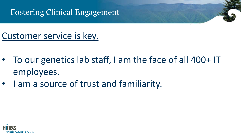- To our genetics lab staff, I am the face of all 400+ IT employees.
- I am a source of trust and familiarity.

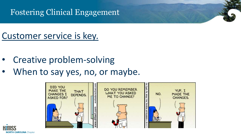- Creative problem-solving
- When to say yes, no, or maybe.



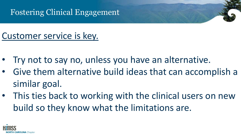- Try not to say no, unless you have an alternative.
- Give them alternative build ideas that can accomplish a similar goal.
- This ties back to working with the clinical users on new build so they know what the limitations are.

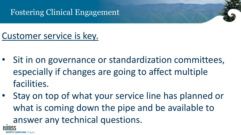## Customer service is key.

**CAROLINA** Chapter

- Sit in on governance or standardization committees, especially if changes are going to affect multiple facilities.
- Stay on top of what your service line has planned or what is coming down the pipe and be available to answer any technical questions.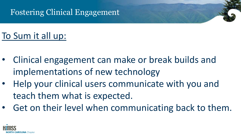- Clinical engagement can make or break builds and implementations of new technology
- Help your clinical users communicate with you and teach them what is expected.
- Get on their level when communicating back to them.

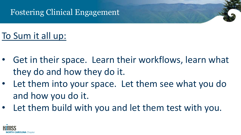- Get in their space. Learn their workflows, learn what they do and how they do it.
- Let them into your space. Let them see what you do and how you do it.
- Let them build with you and let them test with you.

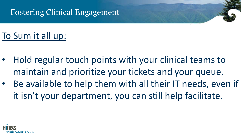- Hold regular touch points with your clinical teams to maintain and prioritize your tickets and your queue.
- Be available to help them with all their IT needs, even if it isn't your department, you can still help facilitate.

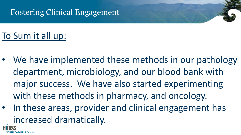- We have implemented these methods in our pathology department, microbiology, and our blood bank with major success. We have also started experimenting with these methods in pharmacy, and oncology.
- In these areas, provider and clinical engagement has increased dramatically.

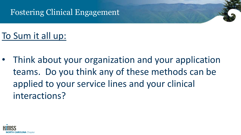# To Sum it all up:

• Think about your organization and your application teams. Do you think any of these methods can be applied to your service lines and your clinical interactions?